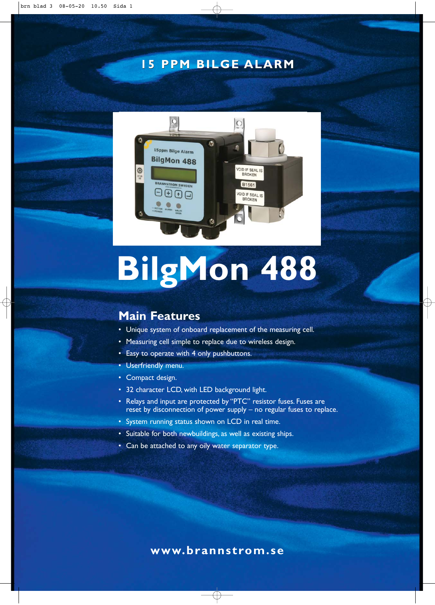## **15 PPM BILGE ALARM**



# **BilgMon 488**

## **Main Features**

- Unique system of onboard replacement of the measuring cell.
- Measuring cell simple to replace due to wireless design.
- Easy to operate with 4 only pushbuttons.
- Userfriendly menu.
- Compact design.
- 32 character LCD, with LED background light.
- Relays and input are protected by "PTC" resistor fuses. Fuses are reset by disconnection of power supply – no regular fuses to replace.
- System running status shown on LCD in real time.
- Suitable for both newbuildings, as well as existing ships.
- Can be attached to any oily water separator type.

#### **www.brannstrom.se**

 $\oplus$